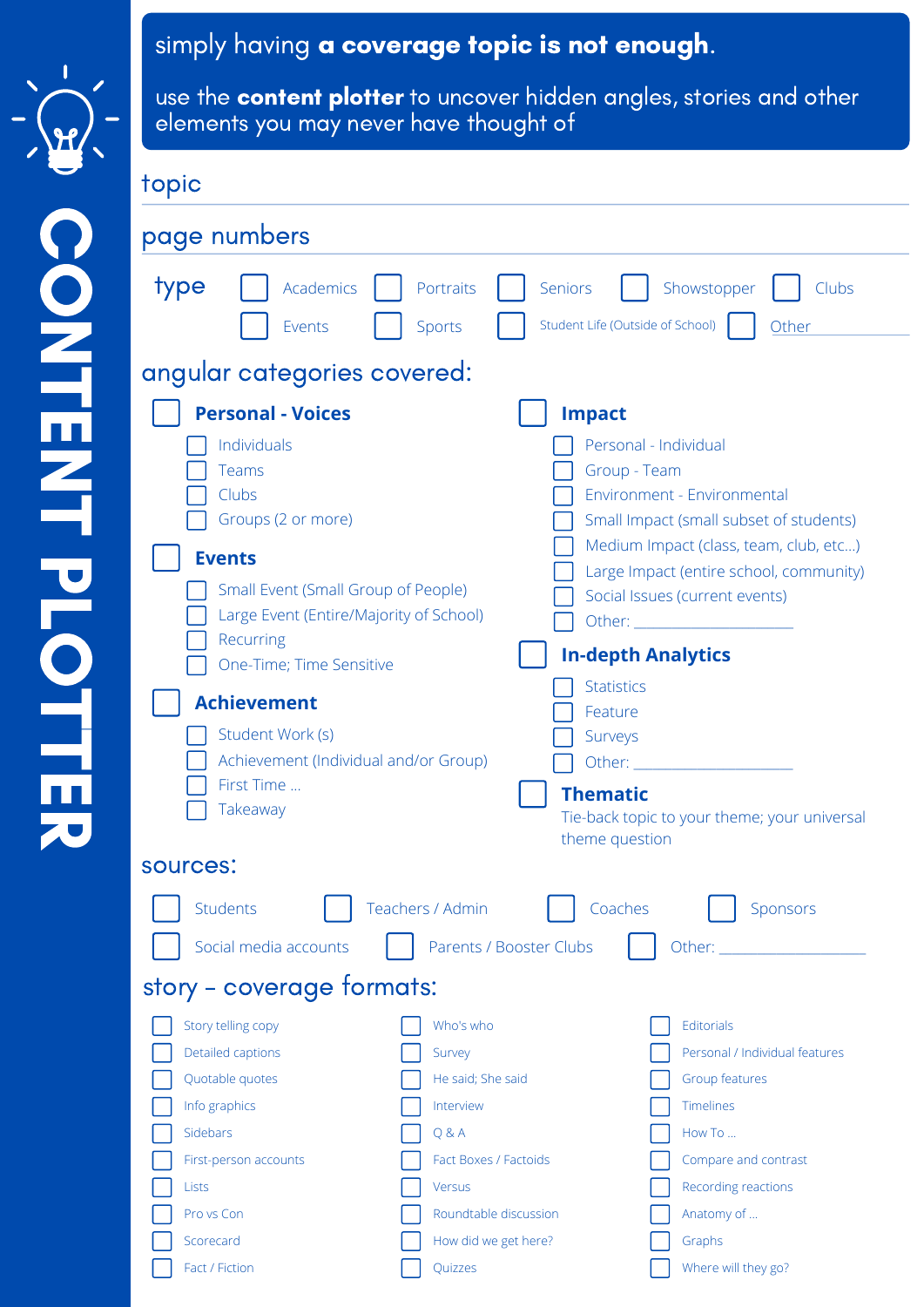

## simply having a coverage topic is not enough.

use the **content plotter** to uncover hidden angles, stories and other elements you may never have thought of

topic

| page numbers                                                                                                                                                                                                                                                                                                                             |                                                                                                                                   |                                                                                                                                                                                                                                                                                                                                                                                                                                                                                                             |
|------------------------------------------------------------------------------------------------------------------------------------------------------------------------------------------------------------------------------------------------------------------------------------------------------------------------------------------|-----------------------------------------------------------------------------------------------------------------------------------|-------------------------------------------------------------------------------------------------------------------------------------------------------------------------------------------------------------------------------------------------------------------------------------------------------------------------------------------------------------------------------------------------------------------------------------------------------------------------------------------------------------|
| type<br>Academics<br>Events                                                                                                                                                                                                                                                                                                              | Portraits<br><b>Sports</b>                                                                                                        | Showstopper<br>Seniors<br>Clubs<br>Student Life (Outside of School)<br>Other                                                                                                                                                                                                                                                                                                                                                                                                                                |
| angular categories covered:                                                                                                                                                                                                                                                                                                              |                                                                                                                                   |                                                                                                                                                                                                                                                                                                                                                                                                                                                                                                             |
| <b>Personal - Voices</b><br>Individuals<br>Teams<br>Clubs<br>Groups (2 or more)<br><b>Events</b><br>Small Event (Small Group of People)<br>Large Event (Entire/Majority of School)<br>Recurring<br>One-Time; Time Sensitive<br><b>Achievement</b><br>Student Work (s)<br>Achievement (Individual and/or Group)<br>First Time<br>Takeaway |                                                                                                                                   | <b>Impact</b><br>Personal - Individual<br>Group - Team<br>Environment - Environmental<br>Small Impact (small subset of students)<br>Medium Impact (class, team, club, etc)<br>Large Impact (entire school, community)<br>Social Issues (current events)<br>Other: and the contract of the contract of the contract of the contract of the contract of the contract of the<br><b>In-depth Analytics</b><br><b>Statistics</b><br>Feature<br>Surveys<br>Other: University of the Contractor<br><b>Thematic</b> |
| sources:                                                                                                                                                                                                                                                                                                                                 |                                                                                                                                   | Tie-back topic to your theme; your universal<br>theme question                                                                                                                                                                                                                                                                                                                                                                                                                                              |
| <b>Students</b><br>Social media accounts                                                                                                                                                                                                                                                                                                 | Teachers / Admin<br>Parents / Booster Clubs                                                                                       | Coaches<br>Sponsors<br>Other: and the control of the control of the control of the control of the control of the control of the control of the control of the control of the control of the control of the control of the control of the control of t                                                                                                                                                                                                                                                       |
| story - coverage tormats:                                                                                                                                                                                                                                                                                                                |                                                                                                                                   |                                                                                                                                                                                                                                                                                                                                                                                                                                                                                                             |
| Story telling copy<br>Detailed captions<br>Quotable quotes<br>Info graphics<br>Sidebars<br>First-person accounts<br><b>Lists</b><br>Pro vs Con                                                                                                                                                                                           | Who's who<br>Survey<br>He said; She said<br>Interview<br>Q & A<br>Fact Boxes / Factoids<br><b>Versus</b><br>Roundtable discussion | Editorials<br>Personal / Individual features<br>Group features<br><b>Timelines</b><br>How To<br>Compare and contrast<br>Recording reactions<br>Anatomy of                                                                                                                                                                                                                                                                                                                                                   |
| Scorecard<br>Fact / Fiction                                                                                                                                                                                                                                                                                                              | How did we get here?<br>Quizzes                                                                                                   | Graphs<br>Where will they go?                                                                                                                                                                                                                                                                                                                                                                                                                                                                               |